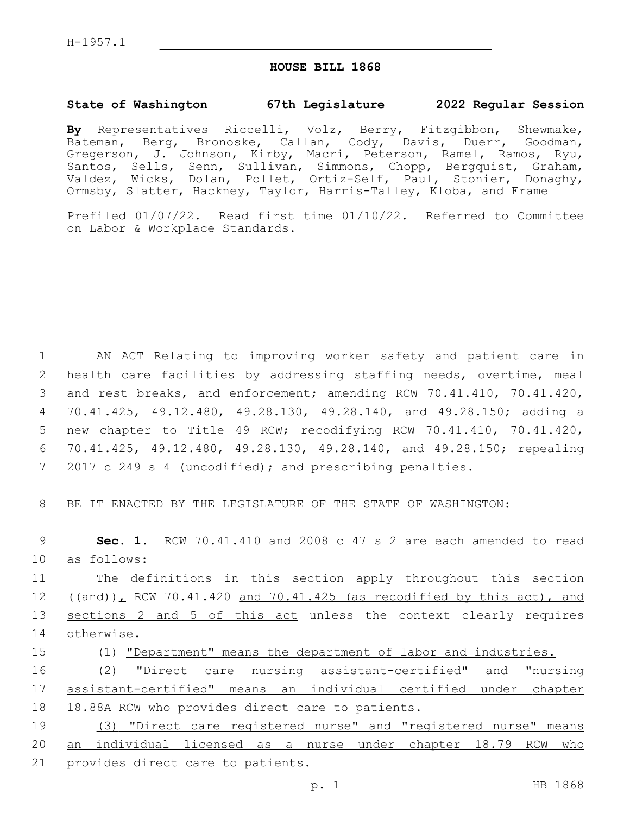## **HOUSE BILL 1868**

## **State of Washington 67th Legislature 2022 Regular Session**

**By** Representatives Riccelli, Volz, Berry, Fitzgibbon, Shewmake, Bateman, Berg, Bronoske, Callan, Cody, Davis, Duerr, Goodman, Gregerson, J. Johnson, Kirby, Macri, Peterson, Ramel, Ramos, Ryu, Santos, Sells, Senn, Sullivan, Simmons, Chopp, Bergquist, Graham, Valdez, Wicks, Dolan, Pollet, Ortiz-Self, Paul, Stonier, Donaghy, Ormsby, Slatter, Hackney, Taylor, Harris-Talley, Kloba, and Frame

Prefiled 01/07/22. Read first time 01/10/22. Referred to Committee on Labor & Workplace Standards.

 AN ACT Relating to improving worker safety and patient care in health care facilities by addressing staffing needs, overtime, meal and rest breaks, and enforcement; amending RCW 70.41.410, 70.41.420, 70.41.425, 49.12.480, 49.28.130, 49.28.140, and 49.28.150; adding a new chapter to Title 49 RCW; recodifying RCW 70.41.410, 70.41.420, 70.41.425, 49.12.480, 49.28.130, 49.28.140, and 49.28.150; repealing 2017 c 249 s 4 (uncodified); and prescribing penalties.

8 BE IT ENACTED BY THE LEGISLATURE OF THE STATE OF WASHINGTON:

9 **Sec. 1.** RCW 70.41.410 and 2008 c 47 s 2 are each amended to read as follows:10

11 The definitions in this section apply throughout this section 12  $((and))_L$  RCW 70.41.420 and 70.41.425 (as recodified by this act), and 13 sections 2 and 5 of this act unless the context clearly requires 14 otherwise.

 (1) "Department" means the department of labor and industries. (2) "Direct care nursing assistant-certified" and "nursing assistant-certified" means an individual certified under chapter 18.88A RCW who provides direct care to patients.

19 (3) "Direct care registered nurse" and "registered nurse" means 20 an individual licensed as a nurse under chapter 18.79 RCW who 21 provides direct care to patients.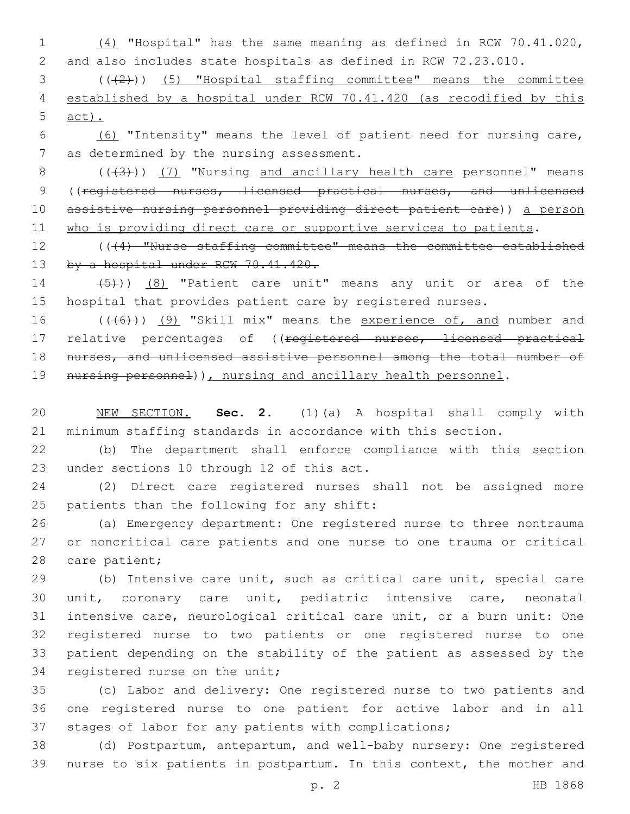1 (4) "Hospital" has the same meaning as defined in RCW 70.41.020, 2 and also includes state hospitals as defined in RCW 72.23.010.

3 (((2))) (5) "Hospital staffing committee" means the committee 4 established by a hospital under RCW 70.41.420 (as recodified by this 5 act).

6 (6) "Intensity" means the level of patient need for nursing care, 7 as determined by the nursing assessment.

8 (((43))) (7) "Nursing and ancillary health care personnel" means 9 ((registered nurses, licensed practical nurses, and unlicensed 10 assistive nursing personnel providing direct patient care)) a person 11 who is providing direct care or supportive services to patients.

12 (((4) "Nurse staffing committee" means the committee established 13 by a hospital under RCW 70.41.420.

14  $(5)$ ))  $(8)$  "Patient care unit" means any unit or area of the 15 hospital that provides patient care by registered nurses.

16 (((6)) (9) "Skill mix" means the experience of, and number and 17 relative percentages of ((registered nurses, licensed practical 18 nurses, and unlicensed assistive personnel among the total number of 19 nursing personnel)), nursing and ancillary health personnel.

20 NEW SECTION. **Sec. 2.** (1)(a) A hospital shall comply with 21 minimum staffing standards in accordance with this section.

22 (b) The department shall enforce compliance with this section 23 under sections 10 through 12 of this act.

24 (2) Direct care registered nurses shall not be assigned more 25 patients than the following for any shift:

26 (a) Emergency department: One registered nurse to three nontrauma 27 or noncritical care patients and one nurse to one trauma or critical 28 care patient;

 (b) Intensive care unit, such as critical care unit, special care unit, coronary care unit, pediatric intensive care, neonatal intensive care, neurological critical care unit, or a burn unit: One registered nurse to two patients or one registered nurse to one patient depending on the stability of the patient as assessed by the 34 registered nurse on the unit;

35 (c) Labor and delivery: One registered nurse to two patients and 36 one registered nurse to one patient for active labor and in all 37 stages of labor for any patients with complications;

38 (d) Postpartum, antepartum, and well-baby nursery: One registered 39 nurse to six patients in postpartum. In this context, the mother and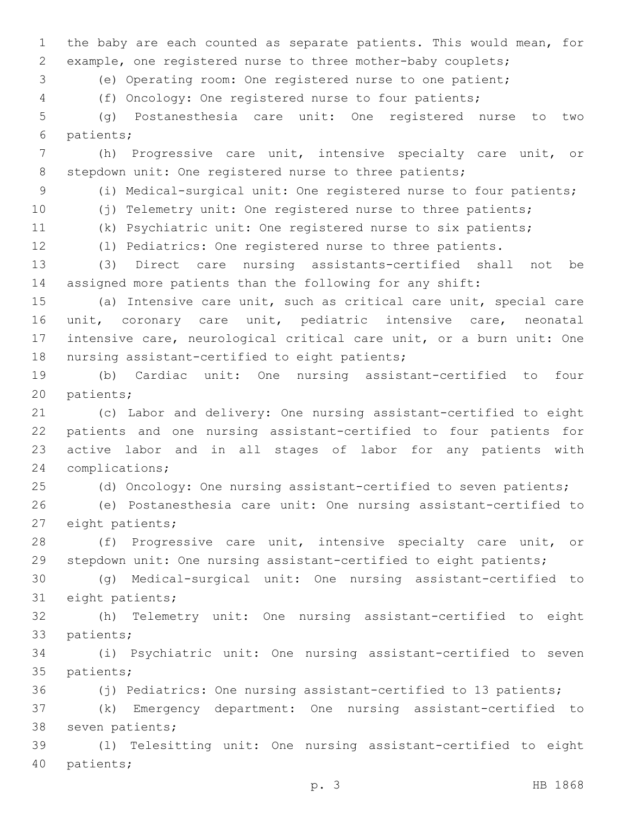the baby are each counted as separate patients. This would mean, for example, one registered nurse to three mother-baby couplets;

(e) Operating room: One registered nurse to one patient;

(f) Oncology: One registered nurse to four patients;

 (g) Postanesthesia care unit: One registered nurse to two 6 patients;

 (h) Progressive care unit, intensive specialty care unit, or 8 stepdown unit: One registered nurse to three patients;

(i) Medical-surgical unit: One registered nurse to four patients;

 (j) Telemetry unit: One registered nurse to three patients; (k) Psychiatric unit: One registered nurse to six patients;

(l) Pediatrics: One registered nurse to three patients.

 (3) Direct care nursing assistants-certified shall not be assigned more patients than the following for any shift:

 (a) Intensive care unit, such as critical care unit, special care unit, coronary care unit, pediatric intensive care, neonatal intensive care, neurological critical care unit, or a burn unit: One 18 nursing assistant-certified to eight patients;

 (b) Cardiac unit: One nursing assistant-certified to four 20 patients;

 (c) Labor and delivery: One nursing assistant-certified to eight patients and one nursing assistant-certified to four patients for active labor and in all stages of labor for any patients with 24 complications;

(d) Oncology: One nursing assistant-certified to seven patients;

 (e) Postanesthesia care unit: One nursing assistant-certified to 27 eight patients;

 (f) Progressive care unit, intensive specialty care unit, or stepdown unit: One nursing assistant-certified to eight patients;

 (g) Medical-surgical unit: One nursing assistant-certified to 31 eight patients;

 (h) Telemetry unit: One nursing assistant-certified to eight 33 patients;

 (i) Psychiatric unit: One nursing assistant-certified to seven 35 patients;

(j) Pediatrics: One nursing assistant-certified to 13 patients;

 (k) Emergency department: One nursing assistant-certified to 38 seven patients;

 (l) Telesitting unit: One nursing assistant-certified to eight 40 patients;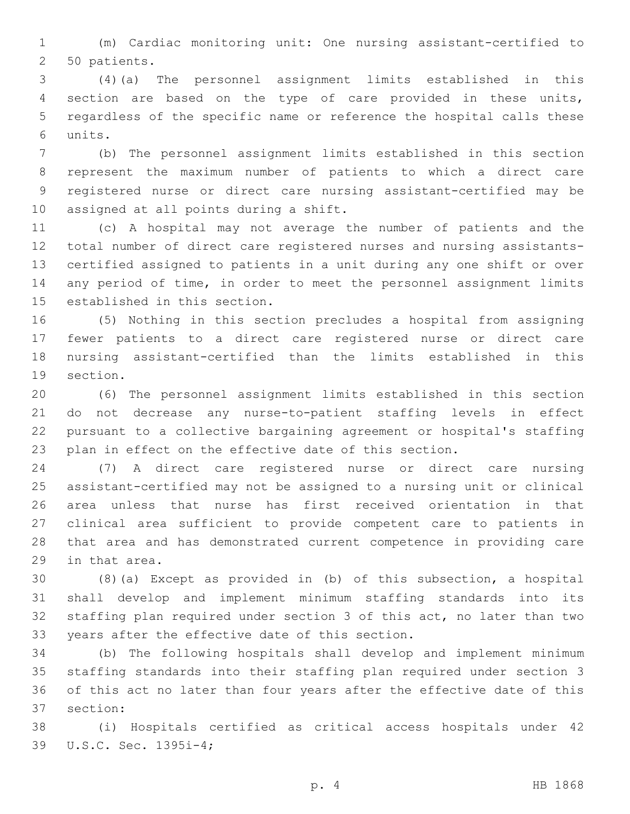(m) Cardiac monitoring unit: One nursing assistant-certified to 2 50 patients.

 (4)(a) The personnel assignment limits established in this section are based on the type of care provided in these units, regardless of the specific name or reference the hospital calls these units.6

 (b) The personnel assignment limits established in this section represent the maximum number of patients to which a direct care registered nurse or direct care nursing assistant-certified may be 10 assigned at all points during a shift.

 (c) A hospital may not average the number of patients and the total number of direct care registered nurses and nursing assistants- certified assigned to patients in a unit during any one shift or over any period of time, in order to meet the personnel assignment limits 15 established in this section.

 (5) Nothing in this section precludes a hospital from assigning fewer patients to a direct care registered nurse or direct care nursing assistant-certified than the limits established in this 19 section.

 (6) The personnel assignment limits established in this section do not decrease any nurse-to-patient staffing levels in effect pursuant to a collective bargaining agreement or hospital's staffing plan in effect on the effective date of this section.

 (7) A direct care registered nurse or direct care nursing assistant-certified may not be assigned to a nursing unit or clinical area unless that nurse has first received orientation in that clinical area sufficient to provide competent care to patients in that area and has demonstrated current competence in providing care 29 in that area.

 (8)(a) Except as provided in (b) of this subsection, a hospital shall develop and implement minimum staffing standards into its staffing plan required under section 3 of this act, no later than two 33 years after the effective date of this section.

 (b) The following hospitals shall develop and implement minimum staffing standards into their staffing plan required under section 3 of this act no later than four years after the effective date of this 37 section:

 (i) Hospitals certified as critical access hospitals under 42 39 U.S.C. Sec. 1395i-4;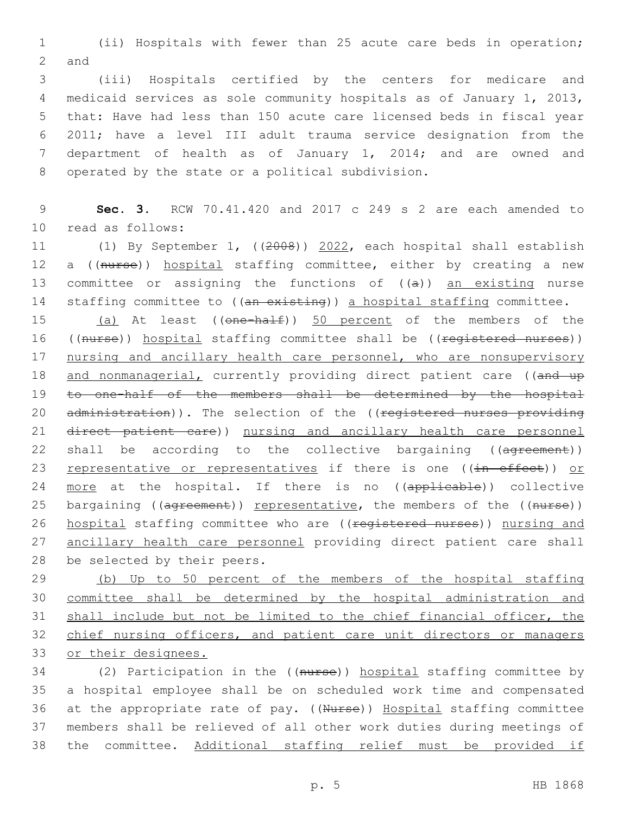1 (ii) Hospitals with fewer than 25 acute care beds in operation; 2 and

 (iii) Hospitals certified by the centers for medicare and medicaid services as sole community hospitals as of January 1, 2013, that: Have had less than 150 acute care licensed beds in fiscal year 2011; have a level III adult trauma service designation from the department of health as of January 1, 2014; and are owned and 8 operated by the state or a political subdivision.

9 **Sec. 3.** RCW 70.41.420 and 2017 c 249 s 2 are each amended to 10 read as follows:

11 (1) By September 1, ((2008)) 2022, each hospital shall establish 12 a ((nurse)) hospital staffing committee, either by creating a new 13 committee or assigning the functions of  $((a))$  an existing nurse 14 staffing committee to ((an existing)) a hospital staffing committee.

15 (a) At least ((one-half)) 50 percent of the members of the 16 ((nurse)) hospital staffing committee shall be ((registered nurses)) 17 nursing and ancillary health care personnel, who are nonsupervisory 18 and nonmanagerial, currently providing direct patient care ((and up 19 to one-half of the members shall be determined by the hospital 20 administration)). The selection of the ((registered nurses providing 21 direct patient care)) nursing and ancillary health care personnel 22 shall be according to the collective bargaining ((agreement)) 23 representative or representatives if there is one ((in effect)) or 24 more at the hospital. If there is no ((applicable)) collective 25 bargaining ((agreement)) representative, the members of the ((nurse)) 26 hospital staffing committee who are ((registered nurses)) nursing and 27 ancillary health care personnel providing direct patient care shall 28 be selected by their peers.

 (b) Up to 50 percent of the members of the hospital staffing committee shall be determined by the hospital administration and shall include but not be limited to the chief financial officer, the chief nursing officers, and patient care unit directors or managers or their designees.

34 (2) Participation in the ((nurse)) hospital staffing committee by 35 a hospital employee shall be on scheduled work time and compensated 36 at the appropriate rate of pay. ((Nurse)) Hospital staffing committee 37 members shall be relieved of all other work duties during meetings of 38 the committee. Additional staffing relief must be provided if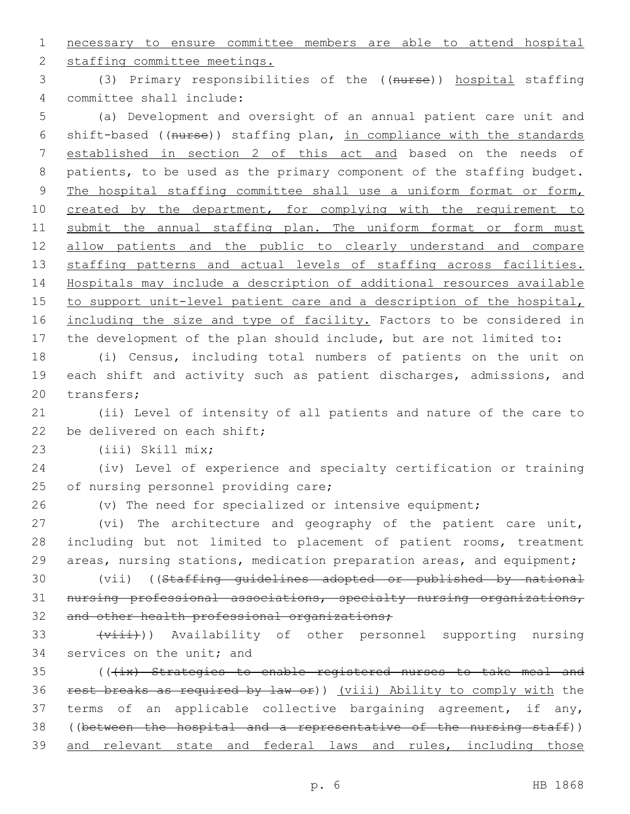1 necessary to ensure committee members are able to attend hospital

2 staffing committee meetings.

3 (3) Primary responsibilities of the ((nurse)) hospital staffing 4 committee shall include:

5 (a) Development and oversight of an annual patient care unit and 6 shift-based ((nurse)) staffing plan, in compliance with the standards 7 established in section 2 of this act and based on the needs of 8 patients, to be used as the primary component of the staffing budget. 9 The hospital staffing committee shall use a uniform format or form, 10 created by the department, for complying with the requirement to 11 submit the annual staffing plan. The uniform format or form must 12 allow patients and the public to clearly understand and compare 13 staffing patterns and actual levels of staffing across facilities. 14 Hospitals may include a description of additional resources available 15 to support unit-level patient care and a description of the hospital, 16 including the size and type of facility. Factors to be considered in 17 the development of the plan should include, but are not limited to:

18 (i) Census, including total numbers of patients on the unit on 19 each shift and activity such as patient discharges, admissions, and 20 transfers:

21 (ii) Level of intensity of all patients and nature of the care to 22 be delivered on each shift;

(iii) Skill mix;23

24 (iv) Level of experience and specialty certification or training 25 of nursing personnel providing care;

26 (v) The need for specialized or intensive equipment;

27 (vi) The architecture and geography of the patient care unit, 28 including but not limited to placement of patient rooms, treatment 29 areas, nursing stations, medication preparation areas, and equipment;

30 (vii) ((Staffing guidelines adopted or published by national 31 nursing professional associations, specialty nursing organizations, 32 and other health professional organizations;

33 (viii)) Availability of other personnel supporting nursing 34 services on the unit; and

35 (((ix) Strategies to enable registered nurses to take meal and rest breaks as required by law or)) (viii) Ability to comply with the terms of an applicable collective bargaining agreement, if any, ((between the hospital and a representative of the nursing staff)) and relevant state and federal laws and rules, including those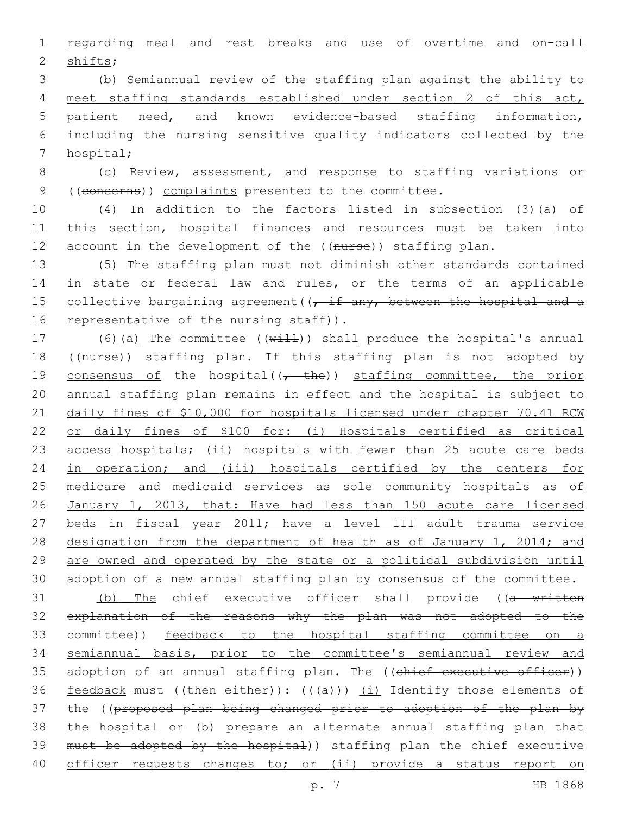1 regarding meal and rest breaks and use of overtime and on-call 2 shifts;

 (b) Semiannual review of the staffing plan against the ability to meet staffing standards established under section 2 of this act, patient need, and known evidence-based staffing information, including the nursing sensitive quality indicators collected by the 7 hospital;

8 (c) Review, assessment, and response to staffing variations or 9 ((concerns)) complaints presented to the committee.

10 (4) In addition to the factors listed in subsection (3)(a) of 11 this section, hospital finances and resources must be taken into 12 account in the development of the ((nurse)) staffing plan.

13 (5) The staffing plan must not diminish other standards contained 14 in state or federal law and rules, or the terms of an applicable 15 collective bargaining agreement  $((t, if any, between the hospital and a$ 16 representative of the nursing staff)).

17 (6)(a) The committee (( $w\text{+11}$ )) shall produce the hospital's annual 18 ((nurse)) staffing plan. If this staffing plan is not adopted by 19 consensus of the hospital( $(-$  the)) staffing committee, the prior 20 annual staffing plan remains in effect and the hospital is subject to 21 daily fines of \$10,000 for hospitals licensed under chapter 70.41 RCW 22 or daily fines of \$100 for: (i) Hospitals certified as critical 23 access hospitals; (ii) hospitals with fewer than 25 acute care beds 24 in operation; and (iii) hospitals certified by the centers for 25 medicare and medicaid services as sole community hospitals as of 26 January 1, 2013, that: Have had less than 150 acute care licensed 27 beds in fiscal year 2011; have a level III adult trauma service 28 designation from the department of health as of January 1, 2014; and 29 are owned and operated by the state or a political subdivision until 30 adoption of a new annual staffing plan by consensus of the committee.

31 (b) The chief executive officer shall provide ((a written 32 explanation of the reasons why the plan was not adopted to the 33 committee)) feedback to the hospital staffing committee on a 34 semiannual basis, prior to the committee's semiannual review and 35 adoption of an annual staffing plan. The ((chief executive officer)) 36 feedback must ((then either)):  $((+a+))$  (i) Identify those elements of 37 the ((proposed plan being changed prior to adoption of the plan by 38 the hospital or (b) prepare an alternate annual staffing plan that 39 must be adopted by the hospital)) staffing plan the chief executive 40 officer requests changes to; or (ii) provide a status report on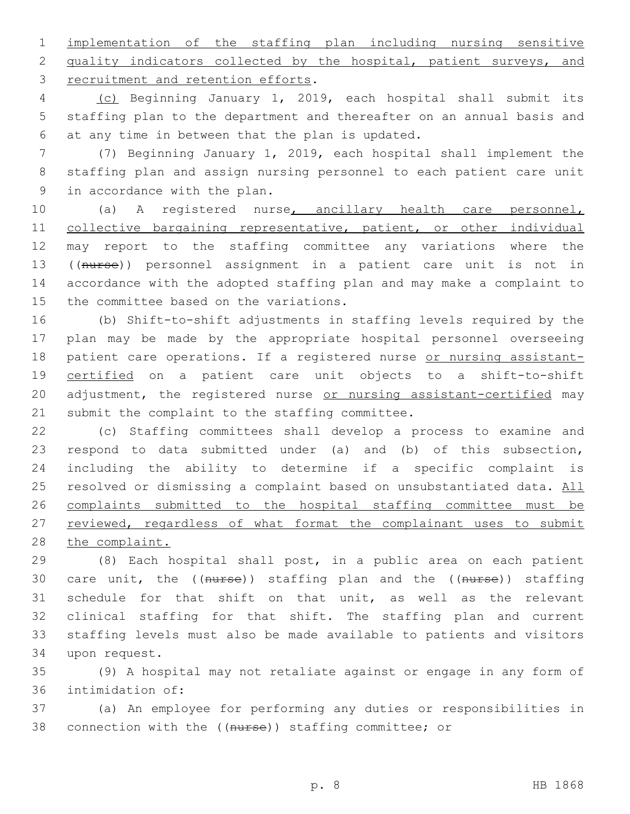1 implementation of the staffing plan including nursing sensitive 2 quality indicators collected by the hospital, patient surveys, and 3 recruitment and retention efforts.

4 (c) Beginning January 1, 2019, each hospital shall submit its 5 staffing plan to the department and thereafter on an annual basis and 6 at any time in between that the plan is updated.

7 (7) Beginning January 1, 2019, each hospital shall implement the 8 staffing plan and assign nursing personnel to each patient care unit 9 in accordance with the plan.

 (a) A registered nurse, ancillary health care personnel, 11 collective bargaining representative, patient, or other individual may report to the staffing committee any variations where the ((nurse)) personnel assignment in a patient care unit is not in accordance with the adopted staffing plan and may make a complaint to 15 the committee based on the variations.

16 (b) Shift-to-shift adjustments in staffing levels required by the 17 plan may be made by the appropriate hospital personnel overseeing 18 patient care operations. If a registered nurse or nursing assistant-19 certified on a patient care unit objects to a shift-to-shift 20 adjustment, the registered nurse or nursing assistant-certified may 21 submit the complaint to the staffing committee.

22 (c) Staffing committees shall develop a process to examine and 23 respond to data submitted under (a) and (b) of this subsection, 24 including the ability to determine if a specific complaint is 25 resolved or dismissing a complaint based on unsubstantiated data. All 26 complaints submitted to the hospital staffing committee must be 27 reviewed, regardless of what format the complainant uses to submit 28 the complaint.

 (8) Each hospital shall post, in a public area on each patient 30 care unit, the ((nurse)) staffing plan and the ((nurse)) staffing schedule for that shift on that unit, as well as the relevant clinical staffing for that shift. The staffing plan and current staffing levels must also be made available to patients and visitors 34 upon request.

35 (9) A hospital may not retaliate against or engage in any form of 36 intimidation of:

37 (a) An employee for performing any duties or responsibilities in 38 connection with the ((nurse)) staffing committee; or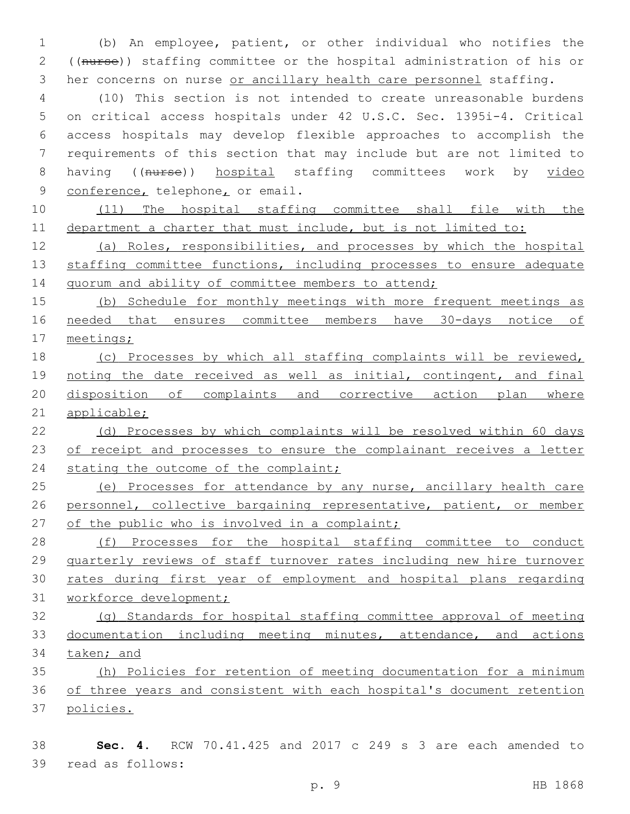(b) An employee, patient, or other individual who notifies the ((nurse)) staffing committee or the hospital administration of his or 3 her concerns on nurse or ancillary health care personnel staffing.

 (10) This section is not intended to create unreasonable burdens on critical access hospitals under 42 U.S.C. Sec. 1395i-4. Critical access hospitals may develop flexible approaches to accomplish the requirements of this section that may include but are not limited to 8 having ((nurse)) hospital staffing committees work by video 9 conference, telephone, or email.

 (11) The hospital staffing committee shall file with the department a charter that must include, but is not limited to:

 (a) Roles, responsibilities, and processes by which the hospital 13 staffing committee functions, including processes to ensure adequate 14 quorum and ability of committee members to attend;

 (b) Schedule for monthly meetings with more frequent meetings as needed that ensures committee members have 30-days notice of meetings;

 (c) Processes by which all staffing complaints will be reviewed, 19 noting the date received as well as initial, contingent, and final disposition of complaints and corrective action plan where applicable;

 (d) Processes by which complaints will be resolved within 60 days 23 of receipt and processes to ensure the complainant receives a letter 24 stating the outcome of the complaint;

25 (e) Processes for attendance by any nurse, ancillary health care personnel, collective bargaining representative, patient, or member 27 of the public who is involved in a complaint;

28 (f) Processes for the hospital staffing committee to conduct quarterly reviews of staff turnover rates including new hire turnover rates during first year of employment and hospital plans regarding workforce development;

 (g) Standards for hospital staffing committee approval of meeting documentation including meeting minutes, attendance, and actions taken; and

 (h) Policies for retention of meeting documentation for a minimum of three years and consistent with each hospital's document retention policies.

 **Sec. 4.** RCW 70.41.425 and 2017 c 249 s 3 are each amended to 39 read as follows: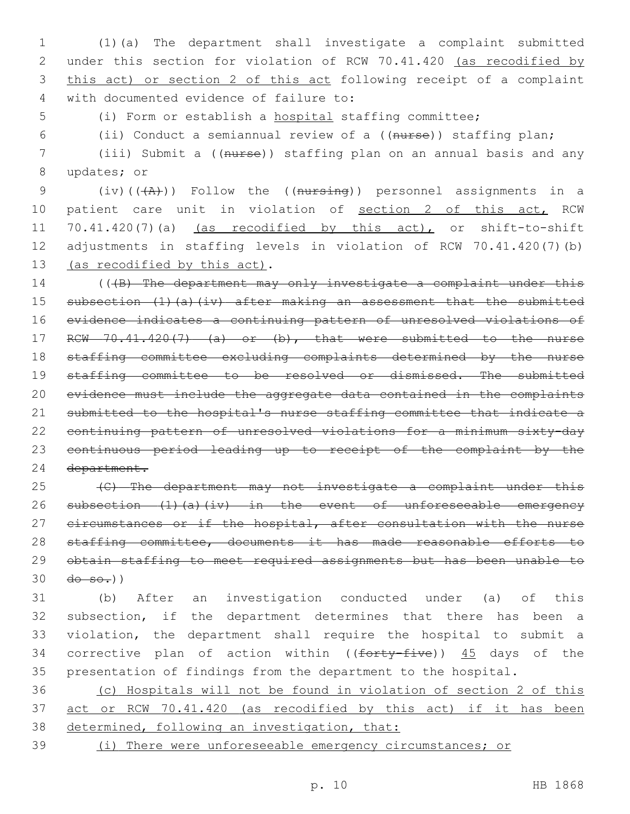(1)(a) The department shall investigate a complaint submitted under this section for violation of RCW 70.41.420 (as recodified by this act) or section 2 of this act following receipt of a complaint 4 with documented evidence of failure to:

(i) Form or establish a hospital staffing committee;

(ii) Conduct a semiannual review of a ((nurse)) staffing plan;

 (iii) Submit a ((nurse)) staffing plan on an annual basis and any 8 updates; or

9 (iv)( $(\overline{A})$ )) Follow the ((nursing)) personnel assignments in a 10 patient care unit in violation of section 2 of this act, RCW 70.41.420(7)(a) (as recodified by this act), or shift-to-shift adjustments in staffing levels in violation of RCW 70.41.420(7)(b) 13 (as recodified by this act).

14 (((B) The department may only investigate a complaint under this subsection (1)(a)(iv) after making an assessment that the submitted evidence indicates a continuing pattern of unresolved violations of 17 RCW 70.41.420(7) (a) or (b), that were submitted to the nurse staffing committee excluding complaints determined by the nurse 19 staffing committee to be resolved or dismissed. The submitted evidence must include the aggregate data contained in the complaints submitted to the hospital's nurse staffing committee that indicate a continuing pattern of unresolved violations for a minimum sixty-day continuous period leading up to receipt of the complaint by the department.

 (C) The department may not investigate a complaint under this 26 subsection (1)(a)(iv) in the event of unforeseeable emergency 27 circumstances or if the hospital, after consultation with the nurse 28 staffing committee, documents it has made reasonable efforts to obtain staffing to meet required assignments but has been unable to  $30 \frac{d\theta - \theta - \theta}{l}$ 

 (b) After an investigation conducted under (a) of this subsection, if the department determines that there has been a violation, the department shall require the hospital to submit a 34 corrective plan of action within ((forty-five)) 45 days of the presentation of findings from the department to the hospital.

 (c) Hospitals will not be found in violation of section 2 of this act or RCW 70.41.420 (as recodified by this act) if it has been 38 determined, following an investigation, that:

(i) There were unforeseeable emergency circumstances; or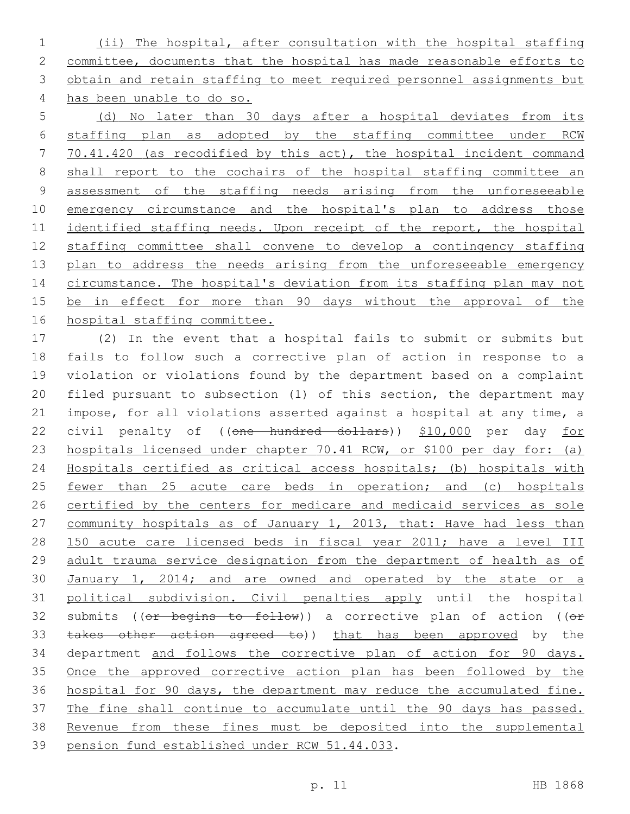(ii) The hospital, after consultation with the hospital staffing committee, documents that the hospital has made reasonable efforts to obtain and retain staffing to meet required personnel assignments but has been unable to do so.

 (d) No later than 30 days after a hospital deviates from its staffing plan as adopted by the staffing committee under RCW 70.41.420 (as recodified by this act), the hospital incident command shall report to the cochairs of the hospital staffing committee an assessment of the staffing needs arising from the unforeseeable 10 emergency circumstance and the hospital's plan to address those identified staffing needs. Upon receipt of the report, the hospital staffing committee shall convene to develop a contingency staffing 13 plan to address the needs arising from the unforeseeable emergency 14 circumstance. The hospital's deviation from its staffing plan may not 15 be in effect for more than 90 days without the approval of the hospital staffing committee.

 (2) In the event that a hospital fails to submit or submits but fails to follow such a corrective plan of action in response to a violation or violations found by the department based on a complaint filed pursuant to subsection (1) of this section, the department may impose, for all violations asserted against a hospital at any time, a 22 civil penalty of ((one hundred dollars)) \$10,000 per day for hospitals licensed under chapter 70.41 RCW, or \$100 per day for: (a) Hospitals certified as critical access hospitals; (b) hospitals with 25 <u>fewer than 25 acute care beds in operation; and (c) hospitals</u> 26 certified by the centers for medicare and medicaid services as sole 27 community hospitals as of January 1, 2013, that: Have had less than 150 acute care licensed beds in fiscal year 2011; have a level III adult trauma service designation from the department of health as of 30 January 1, 2014; and are owned and operated by the state or a political subdivision. Civil penalties apply until the hospital 32 submits (( $e$ r begins to follow)) a corrective plan of action (( $e$ r 33 takes other action agreed to)) that has been approved by the department and follows the corrective plan of action for 90 days. Once the approved corrective action plan has been followed by the hospital for 90 days, the department may reduce the accumulated fine. The fine shall continue to accumulate until the 90 days has passed. Revenue from these fines must be deposited into the supplemental 39 pension fund established under RCW 51.44.033.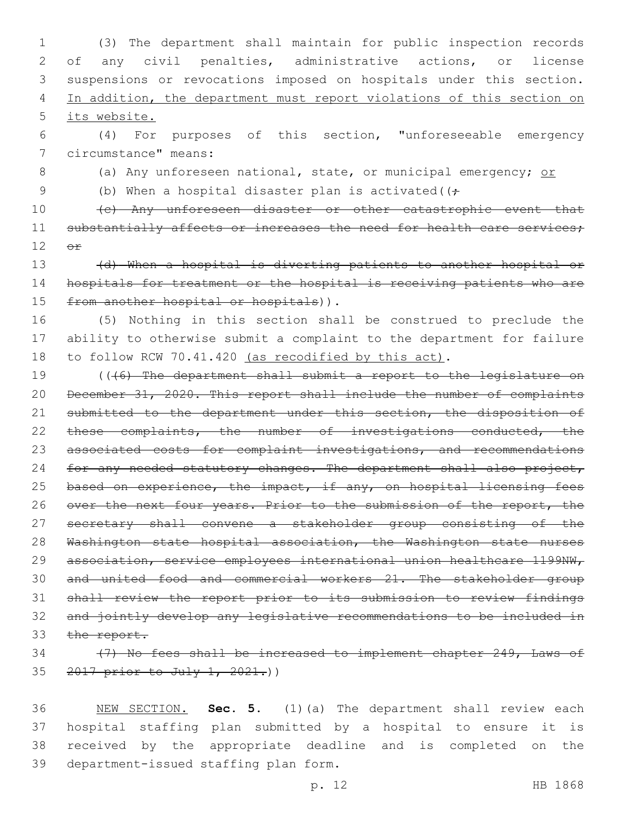(3) The department shall maintain for public inspection records of any civil penalties, administrative actions, or license suspensions or revocations imposed on hospitals under this section. 4 In addition, the department must report violations of this section on its website.

6 (4) For purposes of this section, "unforeseeable emergency 7 circumstance" means:

8 (a) Any unforeseen national, state, or municipal emergency; or

9 (b) When a hospital disaster plan is activated( $(f \cdot$ 

10 (c) Any unforeseen disaster or other catastrophic event that 11 substantially affects or increases the need for health care services;  $12$   $\Theta$  $\mathbf{f}$ 

13 (d) When a hospital is diverting patients to another hospital or 14 hospitals for treatment or the hospital is receiving patients who are 15 from another hospital or hospitals)).

16 (5) Nothing in this section shall be construed to preclude the 17 ability to otherwise submit a complaint to the department for failure 18 to follow RCW 70.41.420 (as recodified by this act).

19 (((6) The department shall submit a report to the legislature on 20 December 31, 2020. This report shall include the number of complaints 21 submitted to the department under this section, the disposition of 22 these complaints, the number of investigations conducted, the 23 associated costs for complaint investigations, and recommendations 24 for any needed statutory changes. The department shall also project, 25 based on experience, the impact, if any, on hospital licensing fees 26 over the next four years. Prior to the submission of the report, the 27 secretary shall convene a stakeholder group consisting of the 28 Washington state hospital association, the Washington state nurses 29 association, service employees international union healthcare 1199NW, 30 and united food and commercial workers 21. The stakeholder group 31 shall review the report prior to its submission to review findings 32 and jointly develop any legislative recommendations to be included in 33 the report.

## 34 (7) No fees shall be increased to implement chapter 249, Laws of 35 2017 prior to July 1, 2021.)

 NEW SECTION. **Sec. 5.** (1)(a) The department shall review each hospital staffing plan submitted by a hospital to ensure it is received by the appropriate deadline and is completed on the department-issued staffing plan form.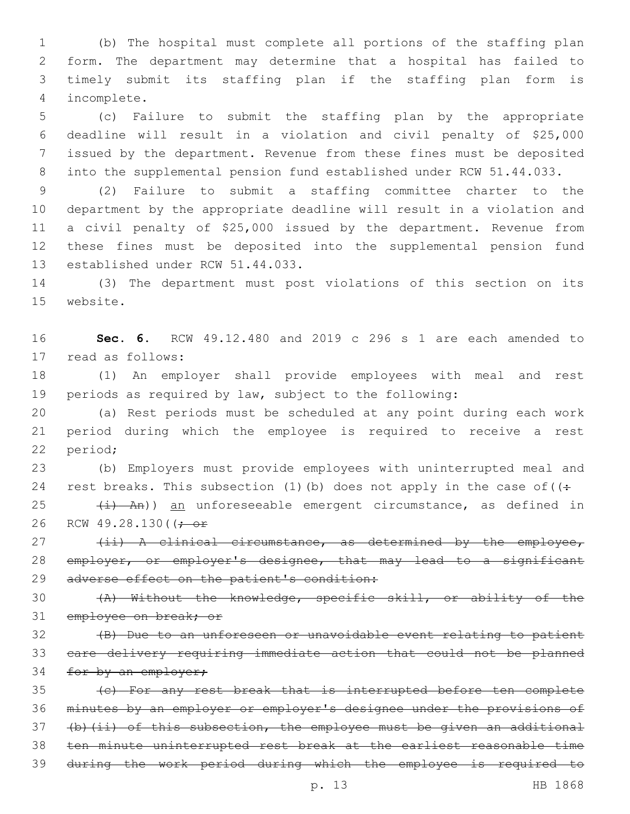(b) The hospital must complete all portions of the staffing plan form. The department may determine that a hospital has failed to timely submit its staffing plan if the staffing plan form is incomplete.4

 (c) Failure to submit the staffing plan by the appropriate deadline will result in a violation and civil penalty of \$25,000 issued by the department. Revenue from these fines must be deposited into the supplemental pension fund established under RCW 51.44.033.

 (2) Failure to submit a staffing committee charter to the department by the appropriate deadline will result in a violation and a civil penalty of \$25,000 issued by the department. Revenue from these fines must be deposited into the supplemental pension fund 13 established under RCW 51.44.033.

 (3) The department must post violations of this section on its 15 website.

 **Sec. 6.** RCW 49.12.480 and 2019 c 296 s 1 are each amended to 17 read as follows:

 (1) An employer shall provide employees with meal and rest periods as required by law, subject to the following:

 (a) Rest periods must be scheduled at any point during each work period during which the employee is required to receive a rest 22 period;

 (b) Employers must provide employees with uninterrupted meal and 24 rest breaks. This subsection (1)(b) does not apply in the case of  $($ :

 (i) An)) an unforeseeable emergent circumstance, as defined in 26 RCW 49.28.130( $\left(\div \text{ or }$ 

27 (ii) A clinical circumstance, as determined by the employee, 28 employer, or employer's designee, that may lead to a significant 29 adverse effect on the patient's condition:

 (A) Without the knowledge, specific skill, or ability of the 31 employee on break; or

 (B) Due to an unforeseen or unavoidable event relating to patient care delivery requiring immediate action that could not be planned 34 for by an employer;

 (c) For any rest break that is interrupted before ten complete minutes by an employer or employer's designee under the provisions of (b)(ii) of this subsection, the employee must be given an additional ten minute uninterrupted rest break at the earliest reasonable time during the work period during which the employee is required to

p. 13 HB 1868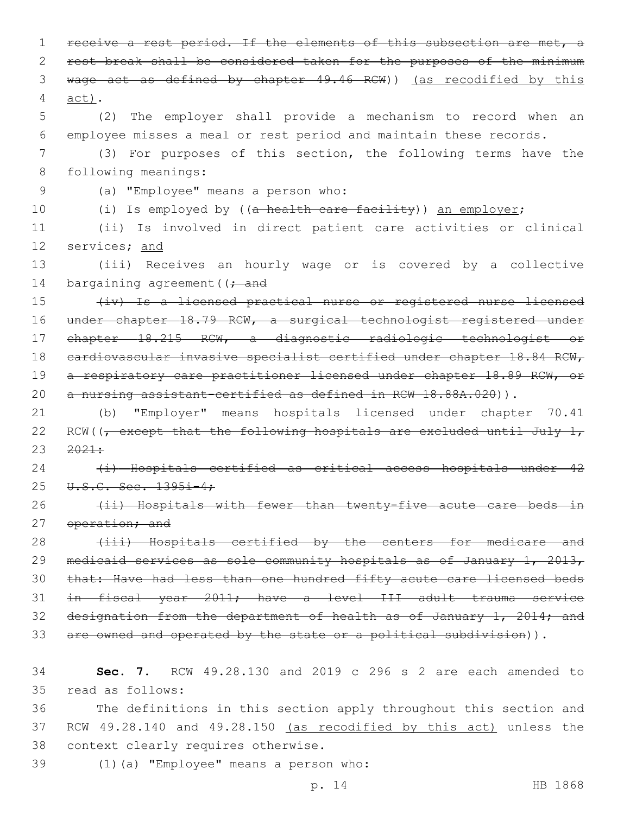1 receive a rest period. If the elements of this subsection are met, a 2 rest break shall be considered taken for the purposes of the minimum 3 wage act as defined by chapter 49.46 RCW)) (as recodified by this 4 act). 5 (2) The employer shall provide a mechanism to record when an 6 employee misses a meal or rest period and maintain these records. 7 (3) For purposes of this section, the following terms have the 8 following meanings: (a) "Employee" means a person who:9 10 (i) Is employed by ((a health care facility)) an employer; 11 (ii) Is involved in direct patient care activities or clinical 12 services; and 13 (iii) Receives an hourly wage or is covered by a collective 14 bargaining agreement ( $\rightarrow$  and 15 (iv) Is a licensed practical nurse or registered nurse licensed 16 under chapter 18.79 RCW, a surgical technologist registered under 17 chapter 18.215 RCW, a diagnostic radiologic technologist or 18 cardiovascular invasive specialist certified under chapter 18.84 RCW, 19 a respiratory care practitioner licensed under chapter 18.89 RCW, or 20 a nursing assistant-certified as defined in RCW 18.88A.020)). 21 (b) "Employer" means hospitals licensed under chapter 70.41 22 RCW( $\sqrt{\phantom{a}}$  except that the following hospitals are excluded until July 1,  $23 \quad 2021:$ 24 (i) Hospitals certified as critical access hospitals under 42 25 U.S.C. Sec. 1395i-4: 26 (ii) Hospitals with fewer than twenty-five acute care beds in 27 operation; and 28 (iii) Hospitals certified by the centers for medicare and 29 medicaid services as sole community hospitals as of January 1, 2013, 30 that: Have had less than one hundred fifty acute care licensed beds 31 in fiscal year 2011; have a level III adult trauma service 32 designation from the department of health as of January 1, 2014; and 33 are owned and operated by the state or a political subdivision)). 34 **Sec. 7.** RCW 49.28.130 and 2019 c 296 s 2 are each amended to read as follows:35 36 The definitions in this section apply throughout this section and 37 RCW 49.28.140 and 49.28.150 (as recodified by this act) unless the

38 context clearly requires otherwise.

(1)(a) "Employee" means a person who:39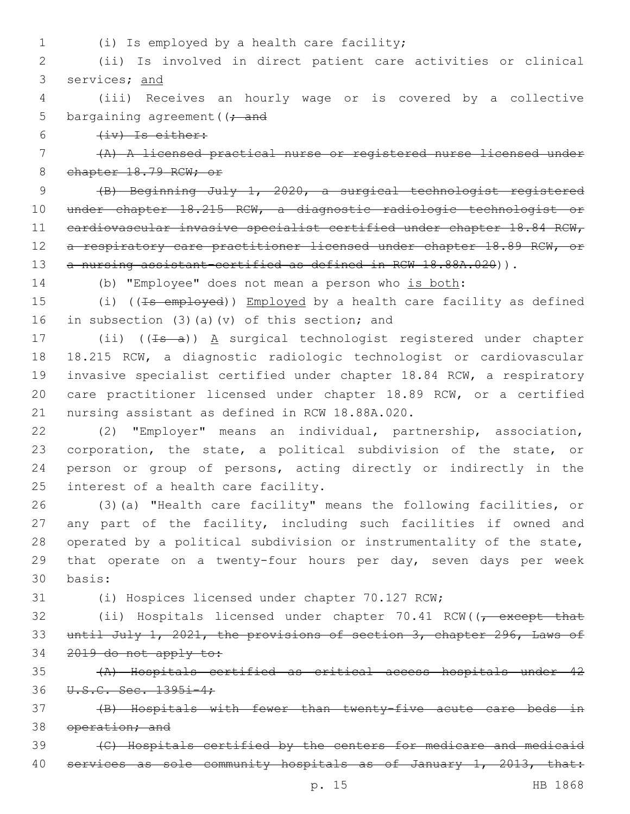- 
- (i) Is employed by a health care facility;1

2 (ii) Is involved in direct patient care activities or clinical 3 services; and

4 (iii) Receives an hourly wage or is covered by a collective 5 bargaining agreement ( $\rightarrow$  and

 $6$   $(iv)$  Is either:

7 (A) A licensed practical nurse or registered nurse licensed under 8 chapter 18.79 RCW; or

9 (B) Beginning July 1, 2020, a surgical technologist registered 10 under chapter 18.215 RCW, a diagnostic radiologic technologist or 11 cardiovascular invasive specialist certified under chapter 18.84 RCW, 12 a respiratory care practitioner licensed under chapter 18.89 RCW, or 13 a nursing assistant-certified as defined in RCW 18.88A.020)).

14 (b) "Employee" does not mean a person who is both:

15 (i) ((Is employed)) Employed by a health care facility as defined 16 in subsection (3)(a)(v) of this section; and

17 (ii)  $((\pm s - a))$  A surgical technologist registered under chapter 18 18.215 RCW, a diagnostic radiologic technologist or cardiovascular 19 invasive specialist certified under chapter 18.84 RCW, a respiratory 20 care practitioner licensed under chapter 18.89 RCW, or a certified 21 nursing assistant as defined in RCW 18.88A.020.

 (2) "Employer" means an individual, partnership, association, corporation, the state, a political subdivision of the state, or person or group of persons, acting directly or indirectly in the 25 interest of a health care facility.

 (3)(a) "Health care facility" means the following facilities, or any part of the facility, including such facilities if owned and operated by a political subdivision or instrumentality of the state, that operate on a twenty-four hours per day, seven days per week basis:30

31 (i) Hospices licensed under chapter 70.127 RCW;

32 (ii) Hospitals licensed under chapter 70.41 RCW((<del>, except that</del> 33 until July 1, 2021, the provisions of section 3, chapter 296, Laws of 34 2019 do not apply to:

35 (A) Hospitals certified as critical access hospitals under 42 36 U.S.C. Sec. 1395i-4;

37 (B) Hospitals with fewer than twenty-five acute care beds in 38 operation; and

39 (C) Hospitals certified by the centers for medicare and medicaid 40 services as sole community hospitals as of January 1, 2013, that: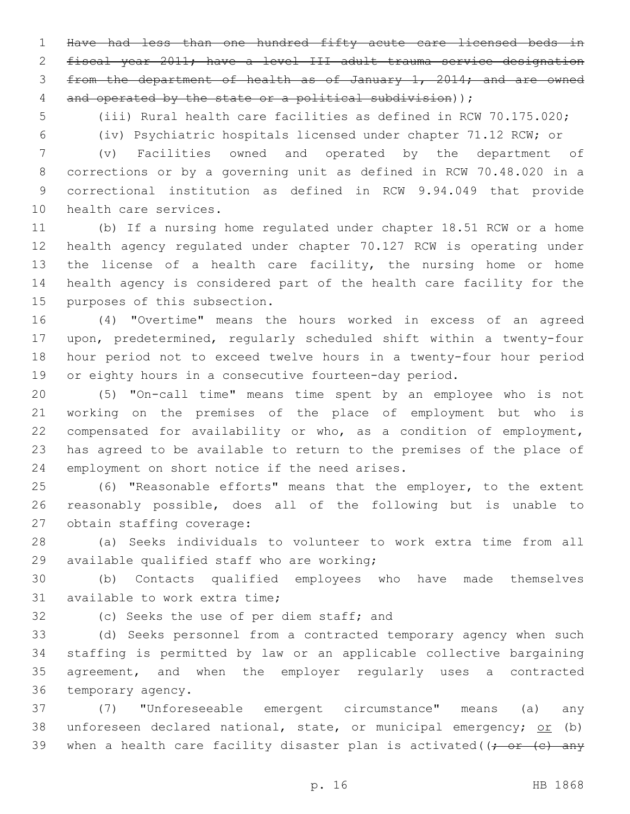Have had less than one hundred fifty acute care licensed beds in fiscal year 2011; have a level III adult trauma service designation from the department of health as of January 1, 2014; and are owned 4 and operated by the state or a political subdivision) );

(iii) Rural health care facilities as defined in RCW 70.175.020;

(iv) Psychiatric hospitals licensed under chapter 71.12 RCW; or

 (v) Facilities owned and operated by the department of corrections or by a governing unit as defined in RCW 70.48.020 in a correctional institution as defined in RCW 9.94.049 that provide 10 health care services.

 (b) If a nursing home regulated under chapter 18.51 RCW or a home health agency regulated under chapter 70.127 RCW is operating under 13 the license of a health care facility, the nursing home or home health agency is considered part of the health care facility for the 15 purposes of this subsection.

 (4) "Overtime" means the hours worked in excess of an agreed upon, predetermined, regularly scheduled shift within a twenty-four hour period not to exceed twelve hours in a twenty-four hour period or eighty hours in a consecutive fourteen-day period.

 (5) "On-call time" means time spent by an employee who is not working on the premises of the place of employment but who is compensated for availability or who, as a condition of employment, has agreed to be available to return to the premises of the place of 24 employment on short notice if the need arises.

 (6) "Reasonable efforts" means that the employer, to the extent reasonably possible, does all of the following but is unable to 27 obtain staffing coverage:

 (a) Seeks individuals to volunteer to work extra time from all 29 available qualified staff who are working;

 (b) Contacts qualified employees who have made themselves 31 available to work extra time;

32 (c) Seeks the use of per diem staff; and

 (d) Seeks personnel from a contracted temporary agency when such staffing is permitted by law or an applicable collective bargaining agreement, and when the employer regularly uses a contracted 36 temporary agency.

 (7) "Unforeseeable emergent circumstance" means (a) any 38 unforeseen declared national, state, or municipal emergency; or (b) 39 when a health care facility disaster plan is activated( $\rightarrow$  or  $\left($ e) any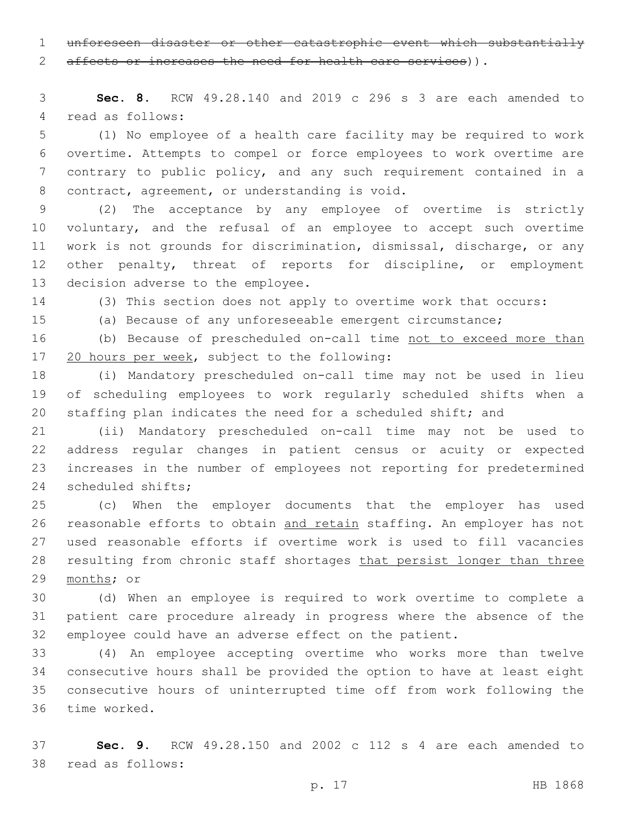unforeseen disaster or other catastrophic event which substantially

2 affects or increases the need for health care services)).

 **Sec. 8.** RCW 49.28.140 and 2019 c 296 s 3 are each amended to 4 read as follows:

 (1) No employee of a health care facility may be required to work overtime. Attempts to compel or force employees to work overtime are contrary to public policy, and any such requirement contained in a 8 contract, agreement, or understanding is void.

 (2) The acceptance by any employee of overtime is strictly 10 voluntary, and the refusal of an employee to accept such overtime work is not grounds for discrimination, dismissal, discharge, or any other penalty, threat of reports for discipline, or employment 13 decision adverse to the employee.

(3) This section does not apply to overtime work that occurs:

(a) Because of any unforeseeable emergent circumstance;

 (b) Because of prescheduled on-call time not to exceed more than 17 20 hours per week, subject to the following:

 (i) Mandatory prescheduled on-call time may not be used in lieu of scheduling employees to work regularly scheduled shifts when a staffing plan indicates the need for a scheduled shift; and

 (ii) Mandatory prescheduled on-call time may not be used to address regular changes in patient census or acuity or expected increases in the number of employees not reporting for predetermined 24 scheduled shifts;

 (c) When the employer documents that the employer has used reasonable efforts to obtain and retain staffing. An employer has not used reasonable efforts if overtime work is used to fill vacancies 28 resulting from chronic staff shortages that persist longer than three 29 months; or

 (d) When an employee is required to work overtime to complete a patient care procedure already in progress where the absence of the employee could have an adverse effect on the patient.

 (4) An employee accepting overtime who works more than twelve consecutive hours shall be provided the option to have at least eight consecutive hours of uninterrupted time off from work following the 36 time worked.

 **Sec. 9.** RCW 49.28.150 and 2002 c 112 s 4 are each amended to 38 read as follows: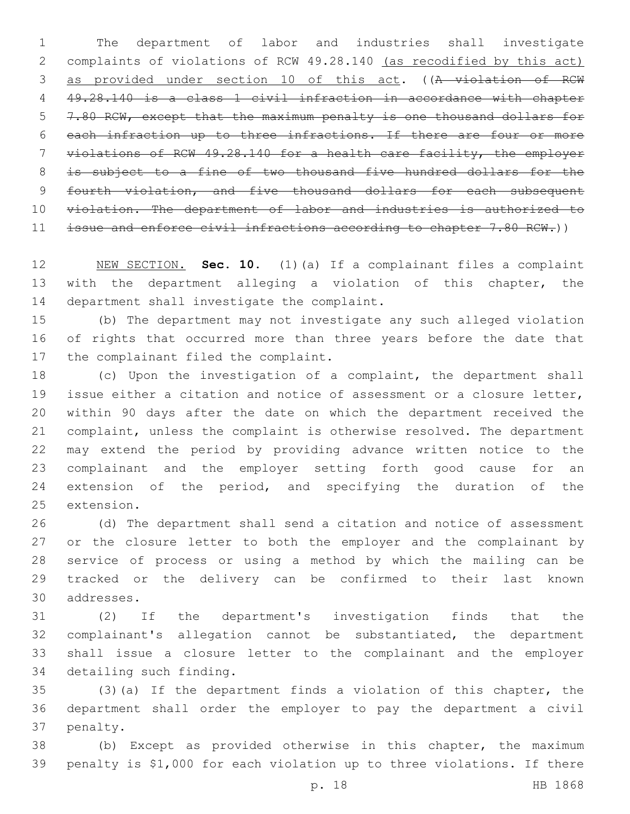The department of labor and industries shall investigate complaints of violations of RCW 49.28.140 (as recodified by this act) as provided under section 10 of this act. ((A violation of RCW 49.28.140 is a class 1 civil infraction in accordance with chapter 7.80 RCW, except that the maximum penalty is one thousand dollars for each infraction up to three infractions. If there are four or more violations of RCW 49.28.140 for a health care facility, the employer 8 is subject to a fine of two thousand five hundred dollars for the 9 fourth violation, and five thousand dollars for each subsequent 10 violation. The department of labor and industries is authorized to issue and enforce civil infractions according to chapter 7.80 RCW.))

 NEW SECTION. **Sec. 10.** (1)(a) If a complainant files a complaint with the department alleging a violation of this chapter, the department shall investigate the complaint.

 (b) The department may not investigate any such alleged violation of rights that occurred more than three years before the date that 17 the complainant filed the complaint.

 (c) Upon the investigation of a complaint, the department shall issue either a citation and notice of assessment or a closure letter, within 90 days after the date on which the department received the complaint, unless the complaint is otherwise resolved. The department may extend the period by providing advance written notice to the complainant and the employer setting forth good cause for an 24 extension of the period, and specifying the duration of the 25 extension.

 (d) The department shall send a citation and notice of assessment 27 or the closure letter to both the employer and the complainant by service of process or using a method by which the mailing can be tracked or the delivery can be confirmed to their last known addresses.30

 (2) If the department's investigation finds that the complainant's allegation cannot be substantiated, the department shall issue a closure letter to the complainant and the employer 34 detailing such finding.

 (3)(a) If the department finds a violation of this chapter, the department shall order the employer to pay the department a civil 37 penalty.

 (b) Except as provided otherwise in this chapter, the maximum penalty is \$1,000 for each violation up to three violations. If there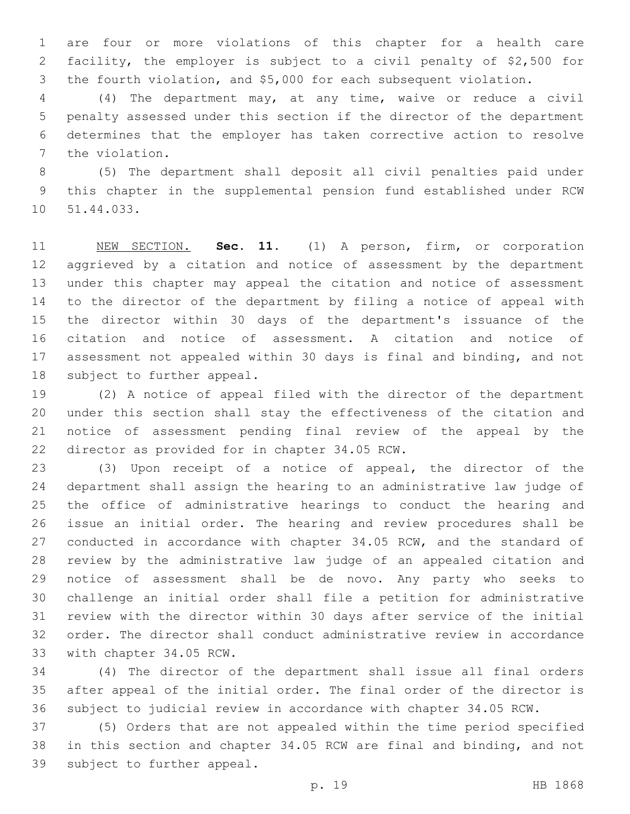are four or more violations of this chapter for a health care facility, the employer is subject to a civil penalty of \$2,500 for the fourth violation, and \$5,000 for each subsequent violation.

 (4) The department may, at any time, waive or reduce a civil penalty assessed under this section if the director of the department determines that the employer has taken corrective action to resolve 7 the violation.

 (5) The department shall deposit all civil penalties paid under this chapter in the supplemental pension fund established under RCW 10 51.44.033.

 NEW SECTION. **Sec. 11.** (1) A person, firm, or corporation aggrieved by a citation and notice of assessment by the department under this chapter may appeal the citation and notice of assessment to the director of the department by filing a notice of appeal with the director within 30 days of the department's issuance of the citation and notice of assessment. A citation and notice of assessment not appealed within 30 days is final and binding, and not subject to further appeal.

 (2) A notice of appeal filed with the director of the department under this section shall stay the effectiveness of the citation and notice of assessment pending final review of the appeal by the 22 director as provided for in chapter 34.05 RCW.

 (3) Upon receipt of a notice of appeal, the director of the department shall assign the hearing to an administrative law judge of the office of administrative hearings to conduct the hearing and issue an initial order. The hearing and review procedures shall be 27 conducted in accordance with chapter 34.05 RCW, and the standard of review by the administrative law judge of an appealed citation and notice of assessment shall be de novo. Any party who seeks to challenge an initial order shall file a petition for administrative review with the director within 30 days after service of the initial order. The director shall conduct administrative review in accordance 33 with chapter 34.05 RCW.

 (4) The director of the department shall issue all final orders after appeal of the initial order. The final order of the director is subject to judicial review in accordance with chapter 34.05 RCW.

 (5) Orders that are not appealed within the time period specified in this section and chapter 34.05 RCW are final and binding, and not 39 subject to further appeal.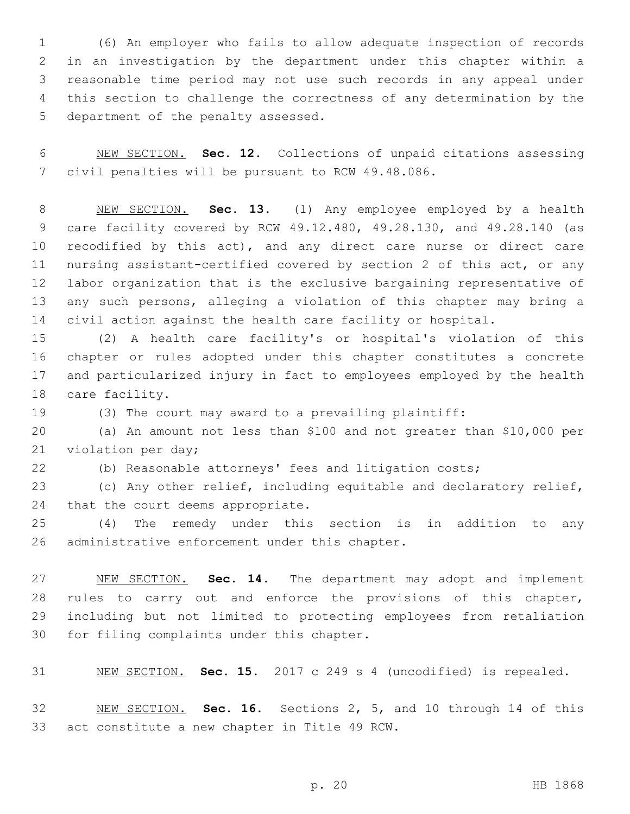(6) An employer who fails to allow adequate inspection of records in an investigation by the department under this chapter within a reasonable time period may not use such records in any appeal under this section to challenge the correctness of any determination by the 5 department of the penalty assessed.

 NEW SECTION. **Sec. 12.** Collections of unpaid citations assessing civil penalties will be pursuant to RCW 49.48.086.

 NEW SECTION. **Sec. 13.** (1) Any employee employed by a health care facility covered by RCW 49.12.480, 49.28.130, and 49.28.140 (as 10 recodified by this act), and any direct care nurse or direct care nursing assistant-certified covered by section 2 of this act, or any labor organization that is the exclusive bargaining representative of any such persons, alleging a violation of this chapter may bring a civil action against the health care facility or hospital.

 (2) A health care facility's or hospital's violation of this chapter or rules adopted under this chapter constitutes a concrete and particularized injury in fact to employees employed by the health 18 care facility.

(3) The court may award to a prevailing plaintiff:

 (a) An amount not less than \$100 and not greater than \$10,000 per 21 violation per day;

(b) Reasonable attorneys' fees and litigation costs;

 (c) Any other relief, including equitable and declaratory relief, 24 that the court deems appropriate.

 (4) The remedy under this section is in addition to any 26 administrative enforcement under this chapter.

 NEW SECTION. **Sec. 14.** The department may adopt and implement rules to carry out and enforce the provisions of this chapter, including but not limited to protecting employees from retaliation for filing complaints under this chapter.

NEW SECTION. **Sec. 15.** 2017 c 249 s 4 (uncodified) is repealed.

 NEW SECTION. **Sec. 16.** Sections 2, 5, and 10 through 14 of this act constitute a new chapter in Title 49 RCW.